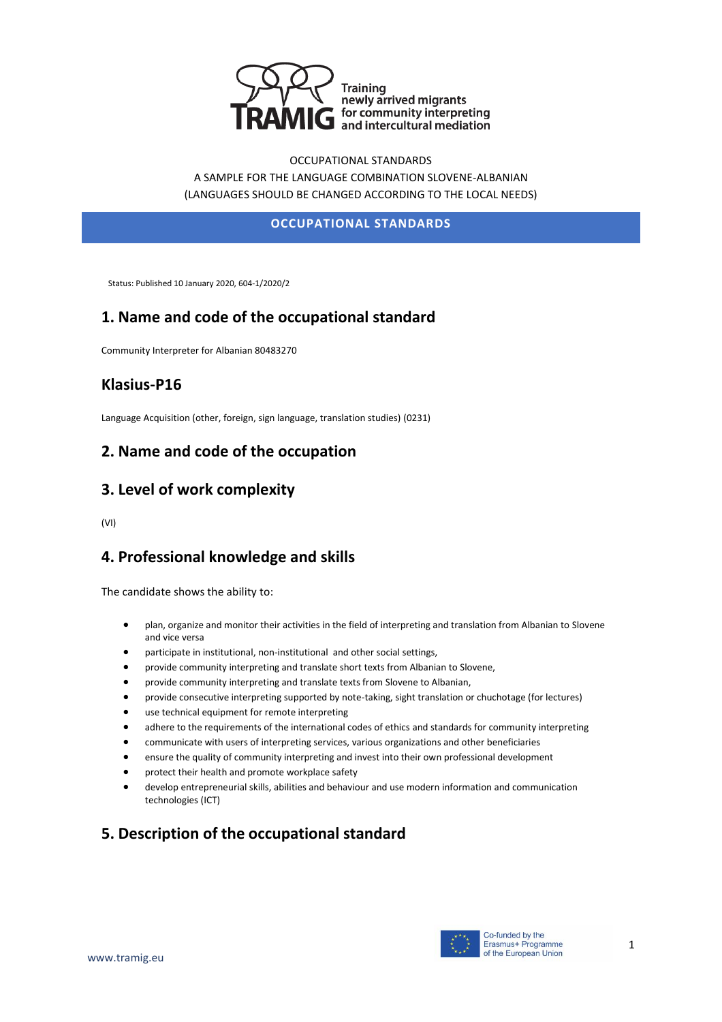

OCCUPATIONAL STANDARDS A SAMPLE FOR THE LANGUAGE COMBINATION SLOVENE-ALBANIAN (LANGUAGES SHOULD BE CHANGED ACCORDING TO THE LOCAL NEEDS)

#### **OCCUPATIONAL STANDARDS**

Status: Published 10 January 2020, 604-1/2020/2

## **1. Name and code of the occupational standard**

Community Interpreter for Albanian 80483270

### **Klasius-P16**

Language Acquisition (other, foreign, sign language, translation studies) (0231)

### **2. Name and code of the occupation**

### **3. Level of work complexity**

(VI)

### **4. Professional knowledge and skills**

The candidate shows the ability to:

- plan, organize and monitor their activities in the field of interpreting and translation from Albanian to Slovene and vice versa
- participate in institutional, non-institutional and other social settings,
- provide community interpreting and translate short texts from Albanian to Slovene,
- provide community interpreting and translate texts from Slovene to Albanian,
- provide consecutive interpreting supported by note-taking, sight translation or chuchotage (for lectures)
- use technical equipment for remote interpreting
- adhere to the requirements of the international codes of ethics and standards for community interpreting
- communicate with users of interpreting services, various organizations and other beneficiaries
- ensure the quality of community interpreting and invest into their own professional development
- protect their health and promote workplace safety
- develop entrepreneurial skills, abilities and behaviour and use modern information and communication technologies (ICT)

# **5. Description of the occupational standard**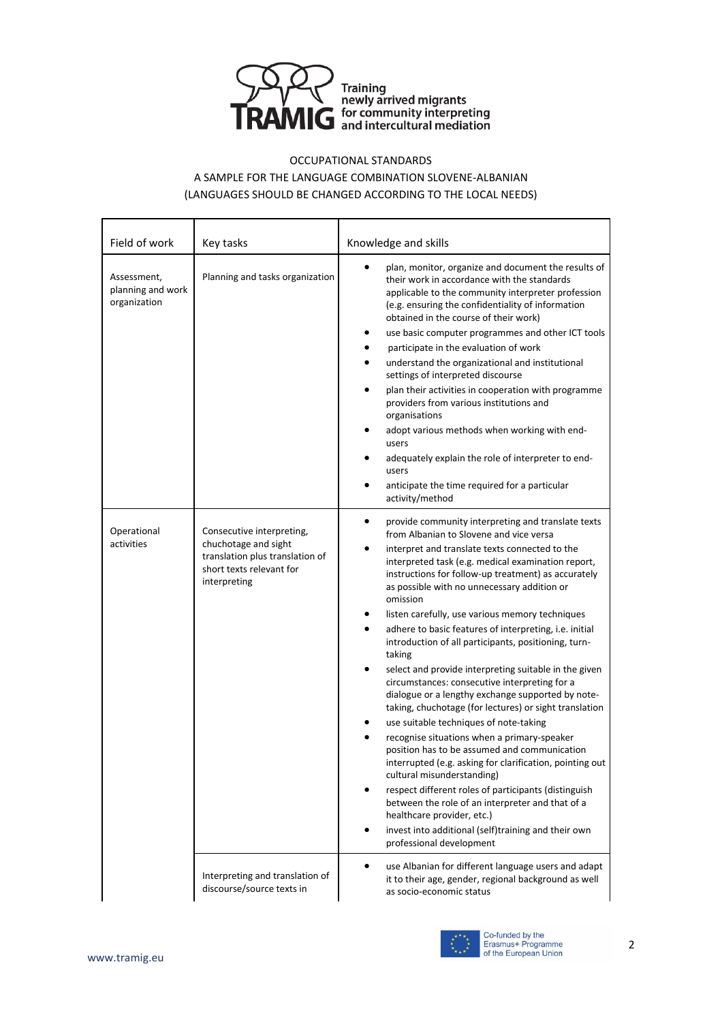

#### OCCUPATIONAL STANDARDS

#### A SAMPLE FOR THE LANGUAGE COMBINATION SLOVENE-ALBANIAN (LANGUAGES SHOULD BE CHANGED ACCORDING TO THE LOCAL NEEDS)

| Field of work                                    | Key tasks                                                                                                                        | Knowledge and skills                                                                                                                                                                                                                                                                                                                                                                                                                                                                                                                                                                                                                                                                                                                                                                                                                                                                                                                                                                                                                                                                                                                                                                                                                                       |
|--------------------------------------------------|----------------------------------------------------------------------------------------------------------------------------------|------------------------------------------------------------------------------------------------------------------------------------------------------------------------------------------------------------------------------------------------------------------------------------------------------------------------------------------------------------------------------------------------------------------------------------------------------------------------------------------------------------------------------------------------------------------------------------------------------------------------------------------------------------------------------------------------------------------------------------------------------------------------------------------------------------------------------------------------------------------------------------------------------------------------------------------------------------------------------------------------------------------------------------------------------------------------------------------------------------------------------------------------------------------------------------------------------------------------------------------------------------|
| Assessment,<br>planning and work<br>organization | Planning and tasks organization                                                                                                  | plan, monitor, organize and document the results of<br>their work in accordance with the standards<br>applicable to the community interpreter profession<br>(e.g. ensuring the confidentiality of information<br>obtained in the course of their work)<br>use basic computer programmes and other ICT tools<br>٠<br>participate in the evaluation of work<br>٠<br>understand the organizational and institutional<br>$\bullet$<br>settings of interpreted discourse<br>plan their activities in cooperation with programme<br>$\bullet$<br>providers from various institutions and<br>organisations<br>adopt various methods when working with end-<br>٠<br>users<br>adequately explain the role of interpreter to end-<br>٠<br>users<br>anticipate the time required for a particular<br>٠<br>activity/method                                                                                                                                                                                                                                                                                                                                                                                                                                             |
| Operational<br>activities                        | Consecutive interpreting,<br>chuchotage and sight<br>translation plus translation of<br>short texts relevant for<br>interpreting | $\bullet$<br>provide community interpreting and translate texts<br>from Albanian to Slovene and vice versa<br>interpret and translate texts connected to the<br>٠<br>interpreted task (e.g. medical examination report,<br>instructions for follow-up treatment) as accurately<br>as possible with no unnecessary addition or<br>omission<br>listen carefully, use various memory techniques<br>٠<br>adhere to basic features of interpreting, i.e. initial<br>٠<br>introduction of all participants, positioning, turn-<br>taking<br>select and provide interpreting suitable in the given<br>$\bullet$<br>circumstances: consecutive interpreting for a<br>dialogue or a lengthy exchange supported by note-<br>taking, chuchotage (for lectures) or sight translation<br>use suitable techniques of note-taking<br>recognise situations when a primary-speaker<br>position has to be assumed and communication<br>interrupted (e.g. asking for clarification, pointing out<br>cultural misunderstanding)<br>respect different roles of participants (distinguish<br>$\bullet$<br>between the role of an interpreter and that of a<br>healthcare provider, etc.)<br>invest into additional (self)training and their own<br>٠<br>professional development |
|                                                  | Interpreting and translation of<br>discourse/source texts in                                                                     | use Albanian for different language users and adapt<br>$\bullet$<br>it to their age, gender, regional background as well<br>as socio-economic status                                                                                                                                                                                                                                                                                                                                                                                                                                                                                                                                                                                                                                                                                                                                                                                                                                                                                                                                                                                                                                                                                                       |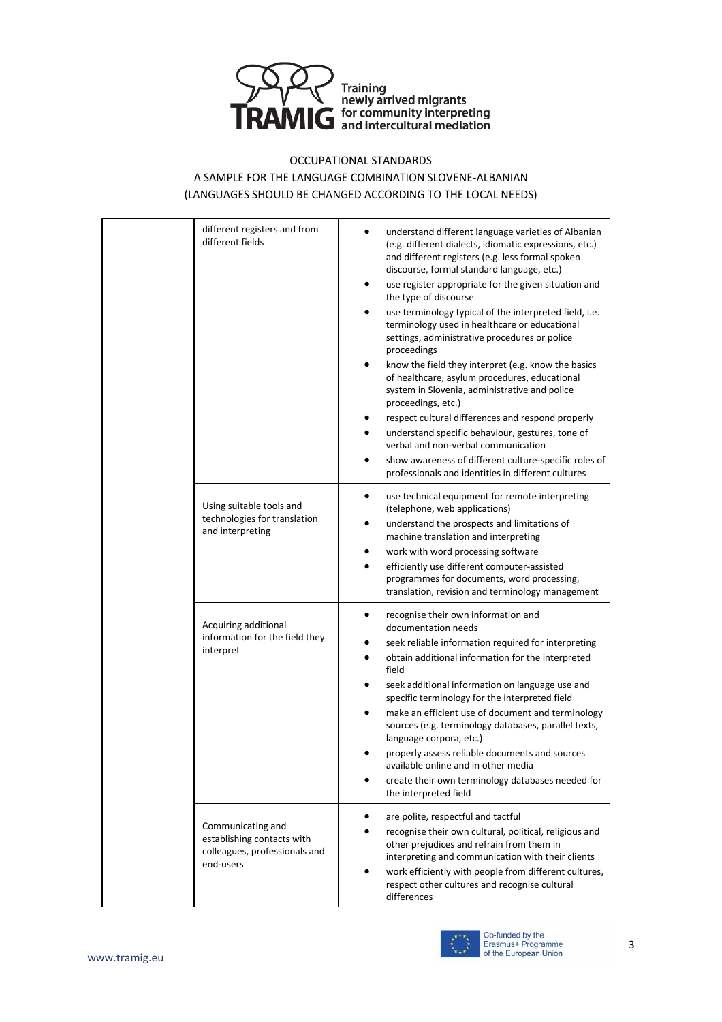

#### OCCUPATIONAL STANDARDS

#### A SAMPLE FOR THE LANGUAGE COMBINATION SLOVENE-ALBANIAN (LANGUAGES SHOULD BE CHANGED ACCORDING TO THE LOCAL NEEDS)

| different registers and from<br>different fields                                              | understand different language varieties of Albanian<br>(e.g. different dialects, idiomatic expressions, etc.)<br>and different registers (e.g. less formal spoken<br>discourse, formal standard language, etc.)<br>use register appropriate for the given situation and<br>$\bullet$<br>the type of discourse<br>use terminology typical of the interpreted field, i.e.<br>٠<br>terminology used in healthcare or educational<br>settings, administrative procedures or police<br>proceedings<br>know the field they interpret (e.g. know the basics<br>of healthcare, asylum procedures, educational<br>system in Slovenia, administrative and police<br>proceedings, etc.)<br>respect cultural differences and respond properly<br>understand specific behaviour, gestures, tone of<br>verbal and non-verbal communication<br>show awareness of different culture-specific roles of<br>professionals and identities in different cultures |
|-----------------------------------------------------------------------------------------------|---------------------------------------------------------------------------------------------------------------------------------------------------------------------------------------------------------------------------------------------------------------------------------------------------------------------------------------------------------------------------------------------------------------------------------------------------------------------------------------------------------------------------------------------------------------------------------------------------------------------------------------------------------------------------------------------------------------------------------------------------------------------------------------------------------------------------------------------------------------------------------------------------------------------------------------------|
| Using suitable tools and<br>technologies for translation<br>and interpreting                  | use technical equipment for remote interpreting<br>$\bullet$<br>(telephone, web applications)<br>understand the prospects and limitations of<br>٠<br>machine translation and interpreting<br>work with word processing software<br>efficiently use different computer-assisted<br>programmes for documents, word processing,<br>translation, revision and terminology management                                                                                                                                                                                                                                                                                                                                                                                                                                                                                                                                                            |
| Acquiring additional<br>information for the field they<br>interpret                           | recognise their own information and<br>$\bullet$<br>documentation needs<br>seek reliable information required for interpreting<br>obtain additional information for the interpreted<br>field<br>seek additional information on language use and<br>specific terminology for the interpreted field<br>make an efficient use of document and terminology<br>$\bullet$<br>sources (e.g. terminology databases, parallel texts,<br>language corpora, etc.)<br>properly assess reliable documents and sources<br>available online and in other media<br>create their own terminology databases needed for<br>the interpreted field                                                                                                                                                                                                                                                                                                               |
| Communicating and<br>establishing contacts with<br>colleagues, professionals and<br>end-users | are polite, respectful and tactful<br>$\bullet$<br>recognise their own cultural, political, religious and<br>other prejudices and refrain from them in<br>interpreting and communication with their clients<br>work efficiently with people from different cultures,<br>respect other cultures and recognise cultural<br>differences                                                                                                                                                                                                                                                                                                                                                                                                                                                                                                                                                                                                        |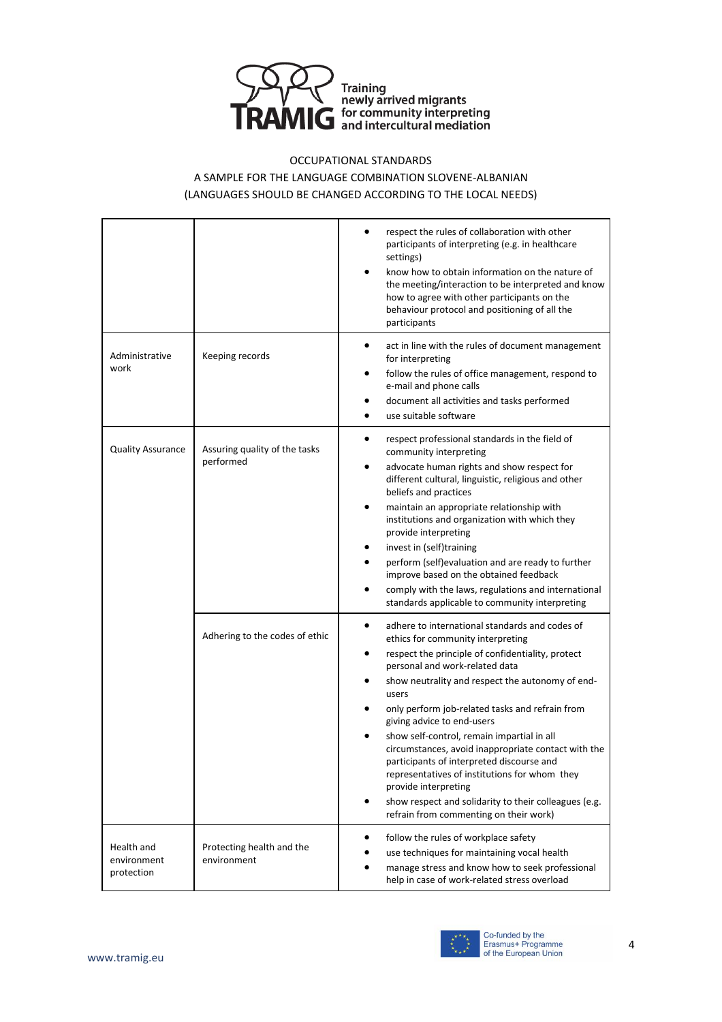

#### OCCUPATIONAL STANDARDS

#### A SAMPLE FOR THE LANGUAGE COMBINATION SLOVENE-ALBANIAN (LANGUAGES SHOULD BE CHANGED ACCORDING TO THE LOCAL NEEDS)

|                                         |                                            | respect the rules of collaboration with other<br>participants of interpreting (e.g. in healthcare<br>settings)<br>know how to obtain information on the nature of<br>٠<br>the meeting/interaction to be interpreted and know<br>how to agree with other participants on the<br>behaviour protocol and positioning of all the<br>participants                                                                                                                                                                                                                                                                                                                                                                 |
|-----------------------------------------|--------------------------------------------|--------------------------------------------------------------------------------------------------------------------------------------------------------------------------------------------------------------------------------------------------------------------------------------------------------------------------------------------------------------------------------------------------------------------------------------------------------------------------------------------------------------------------------------------------------------------------------------------------------------------------------------------------------------------------------------------------------------|
| Administrative<br>work                  | Keeping records                            | act in line with the rules of document management<br>$\bullet$<br>for interpreting<br>follow the rules of office management, respond to<br>٠<br>e-mail and phone calls<br>document all activities and tasks performed<br>$\bullet$<br>use suitable software<br>٠                                                                                                                                                                                                                                                                                                                                                                                                                                             |
| <b>Quality Assurance</b>                | Assuring quality of the tasks<br>performed | respect professional standards in the field of<br>٠<br>community interpreting<br>advocate human rights and show respect for<br>٠<br>different cultural, linguistic, religious and other<br>beliefs and practices<br>maintain an appropriate relationship with<br>$\bullet$<br>institutions and organization with which they<br>provide interpreting<br>invest in (self)training<br>٠<br>perform (self)evaluation and are ready to further<br>$\bullet$<br>improve based on the obtained feedback<br>comply with the laws, regulations and international<br>$\bullet$<br>standards applicable to community interpreting                                                                                       |
|                                         | Adhering to the codes of ethic             | adhere to international standards and codes of<br>$\bullet$<br>ethics for community interpreting<br>respect the principle of confidentiality, protect<br>$\bullet$<br>personal and work-related data<br>show neutrality and respect the autonomy of end-<br>٠<br>users<br>only perform job-related tasks and refrain from<br>٠<br>giving advice to end-users<br>show self-control, remain impartial in all<br>٠<br>circumstances, avoid inappropriate contact with the<br>participants of interpreted discourse and<br>representatives of institutions for whom they<br>provide interpreting<br>show respect and solidarity to their colleagues (e.g.<br>$\bullet$<br>refrain from commenting on their work) |
| Health and<br>environment<br>protection | Protecting health and the<br>environment   | follow the rules of workplace safety<br>٠<br>use techniques for maintaining vocal health<br>٠<br>manage stress and know how to seek professional<br>٠<br>help in case of work-related stress overload                                                                                                                                                                                                                                                                                                                                                                                                                                                                                                        |